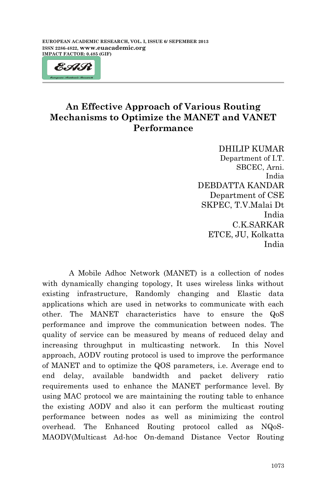$\overline{a}$ 



# **An Effective Approach of Various Routing Mechanisms to Optimize the MANET and VANET Performance**

DHILIP KUMAR Department of I.T. SBCEC, Arni. India DEBDATTA KANDAR Department of CSE SKPEC, T.V.Malai Dt India C.K.SARKAR ETCE, JU, Kolkatta India

A Mobile Adhoc Network (MANET) is a collection of nodes with dynamically changing topology, It uses wireless links without existing infrastructure, Randomly changing and Elastic data applications which are used in networks to communicate with each other. The MANET characteristics have to ensure the QoS performance and improve the communication between nodes. The quality of service can be measured by means of reduced delay and increasing throughput in multicasting network. In this Novel approach, AODV routing protocol is used to improve the performance of MANET and to optimize the QOS parameters, i.e. Average end to end delay, available bandwidth and packet delivery ratio requirements used to enhance the MANET performance level. By using MAC protocol we are maintaining the routing table to enhance the existing AODV and also it can perform the multicast routing performance between nodes as well as minimizing the control overhead. The Enhanced Routing protocol called as NQoS-MAODV(Multicast Ad-hoc On-demand Distance Vector Routing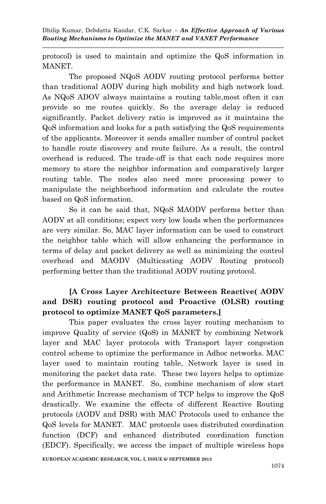protocol) is used to maintain and optimize the QoS information in MANET.

The proposed NQoS AODV routing protocol performs better than traditional AODV during high mobility and high network load. As NQoS ADOV always maintains a routing table,most often it can provide so me routes quickly. So the average delay is reduced significantly. Packet delivery ratio is improved as it maintains the QoS information and looks for a path satisfying the QoS requirements of the applicants. Moreover it sends smaller number of control packet to handle route discovery and route failure. As a result, the control overhead is reduced. The trade-off is that each node requires more memory to store the neighbor information and comparatively larger routing table. The nodes also need more processing power to manipulate the neighborhood information and calculate the routes based on QoS information.

So it can be said that, NQoS MAODV performs better than AODV at all conditions; expect very low loads when the performances are very similar. So, MAC layer information can be used to construct the neighbor table which will allow enhancing the performance in terms of delay and packet delivery as well as minimizing the control overhead and MAODV (Multicasting AODV Routing protocol) performing better than the traditional AODV routing protocol.

## **[A Cross Layer Architecture Between Reactive( AODV and DSR) routing protocol and Proactive (OLSR) routing protocol to optimize MANET QoS parameters.]**

This paper evaluates the cross layer routing mechanism to improve Quality of service (QoS) in MANET by combining Network layer and MAC layer protocols with Transport layer congestion control scheme to optimize the performance in Adhoc networks. MAC layer used to maintain routing table, Network layer is used in monitoring the packet data rate. These two layers helps to optimize the performance in MANET. So, combine mechanism of slow start and Arithmetic Increase mechanism of TCP helps to improve the QoS drastically. We examine the effects of different Reactive Routing protocols (AODV and DSR) with MAC Protocols used to enhance the QoS levels for MANET. MAC protocols uses distributed coordination function (DCF) and enhanced distributed coordination function (EDCF). Specifically, we access the impact of multiple wireless hops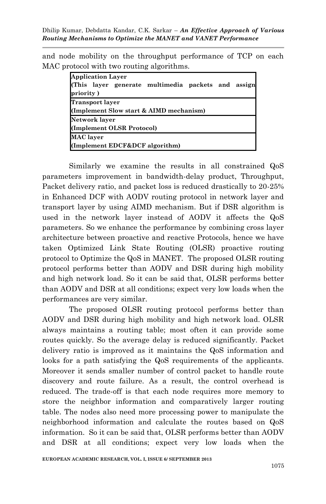and node mobility on the throughput performance of TCP on each MAC protocol with two routing algorithms.

| <b>Application Layer</b><br>(This layer generate multimedia packets and assign<br>priority) |  |
|---------------------------------------------------------------------------------------------|--|
| <b>Transport layer</b>                                                                      |  |
| (Implement Slow start & AIMD mechanism)                                                     |  |
| Network layer                                                                               |  |
| (Implement OLSR Protocol)                                                                   |  |
| MAC layer                                                                                   |  |
| (Implement EDCF&DCF algorithm)                                                              |  |

Similarly we examine the results in all constrained QoS parameters improvement in bandwidth-delay product, Throughput, Packet delivery ratio, and packet loss is reduced drastically to 20-25% in Enhanced DCF with AODV routing protocol in network layer and transport layer by using AIMD mechanism. But if DSR algorithm is used in the network layer instead of AODV it affects the QoS parameters. So we enhance the performance by combining cross layer architecture between proactive and reactive Protocols, hence we have taken Optimized Link State Routing (OLSR) proactive routing protocol to Optimize the QoS in MANET. The proposed OLSR routing protocol performs better than AODV and DSR during high mobility and high network load. So it can be said that, OLSR performs better than AODV and DSR at all conditions; expect very low loads when the performances are very similar.

The proposed OLSR routing protocol performs better than AODV and DSR during high mobility and high network load. OLSR always maintains a routing table; most often it can provide some routes quickly. So the average delay is reduced significantly. Packet delivery ratio is improved as it maintains the QoS information and looks for a path satisfying the QoS requirements of the applicants. Moreover it sends smaller number of control packet to handle route discovery and route failure. As a result, the control overhead is reduced. The trade-off is that each node requires more memory to store the neighbor information and comparatively larger routing table. The nodes also need more processing power to manipulate the neighborhood information and calculate the routes based on QoS information. So it can be said that, OLSR performs better than AODV and DSR at all conditions; expect very low loads when the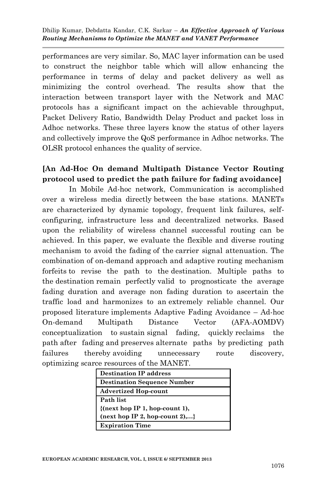performances are very similar. So, MAC layer information can be used to construct the neighbor table which will allow enhancing the performance in terms of delay and packet delivery as well as minimizing the control overhead. The results show that the interaction between transport layer with the Network and MAC protocols has a significant impact on the achievable throughput, Packet Delivery Ratio, Bandwidth Delay Product and packet loss in Adhoc networks. These three layers know the status of other layers and collectively improve the QoS performance in Adhoc networks. The OLSR protocol enhances the quality of service.

### **[An Ad-Hoc On demand Multipath Distance Vector Routing protocol used to predict the path failure for fading avoidance]**

In Mobile Ad-hoc network, Communication is accomplished over a wireless media directly between the base stations. MANETs are characterized by dynamic topology, frequent link failures, selfconfiguring, infrastructure less and decentralized networks. Based upon the reliability of wireless channel successful routing can be achieved. In this paper, we evaluate the flexible and diverse routing mechanism to avoid the fading of the carrier signal attenuation. The combination of on-demand approach and adaptive routing mechanism forfeits to revise the path to the destination. Multiple paths to the destination remain perfectly valid to prognosticate the average fading duration and average non fading duration to ascertain the traffic load and harmonizes to an extremely reliable channel. Our proposed literature implements Adaptive Fading Avoidance – Ad-hoc On-demand Multipath Distance Vector (AFA-AOMDV) conceptualization to sustain signal fading, quickly reclaims the path after fading and preserves alternate paths by predicting path failures thereby avoiding unnecessary route discovery, optimizing scarce resources of the MANET.

| <b>Destination IP address</b>      |
|------------------------------------|
| <b>Destination Sequence Number</b> |
| <b>Advertized Hop-count</b>        |
| Path list                          |
| ${$ next hop IP 1, hop-count 1),   |
| $(next hop IP 2, hop-count 2),$ }  |
| <b>Expiration Time</b>             |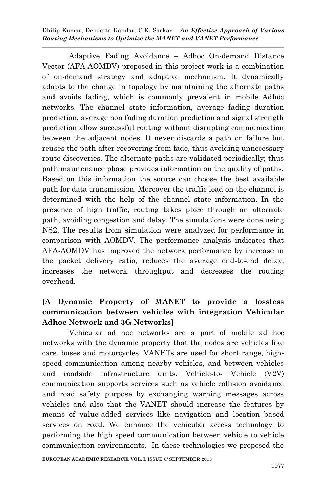Adaptive Fading Avoidance – Adhoc On-demand Distance Vector (AFA-AOMDV) proposed in this project work is a combination of on-demand strategy and adaptive mechanism. It dynamically adapts to the change in topology by maintaining the alternate paths and avoids fading, which is commonly prevalent in mobile Adhoc networks. The channel state information, average fading duration prediction, average non fading duration prediction and signal strength prediction allow successful routing without disrupting communication between the adjacent nodes. It never discards a path on failure but reuses the path after recovering from fade, thus avoiding unnecessary route discoveries. The alternate paths are validated periodically; thus path maintenance phase provides information on the quality of paths. Based on this information the source can choose the best available path for data transmission. Moreover the traffic load on the channel is determined with the help of the channel state information. In the presence of high traffic, routing takes place through an alternate path, avoiding congestion and delay. The simulations were done using NS2. The results from simulation were analyzed for performance in comparison with AOMDV. The performance analysis indicates that AFA-AOMDV has improved the network performance by increase in the packet delivery ratio, reduces the average end-to-end delay, increases the network throughput and decreases the routing overhead.

## **[A Dynamic Property of MANET to provide a lossless communication between vehicles with integration Vehicular Adhoc Network and 3G Networks]**

Vehicular ad hoc networks are a part of mobile ad hoc networks with the dynamic property that the nodes are vehicles like cars, buses and motorcycles. VANETs are used for short range, highspeed communication among nearby vehicles, and between vehicles and roadside infrastructure units. Vehicle-to- Vehicle (V2V) communication supports services such as vehicle collision avoidance and road safety purpose by exchanging warning messages across vehicles and also that the VANET should increase the features by means of value-added services like navigation and location based services on road. We enhance the vehicular access technology to performing the high speed communication between vehicle to vehicle communication environments. In these technologies we proposed the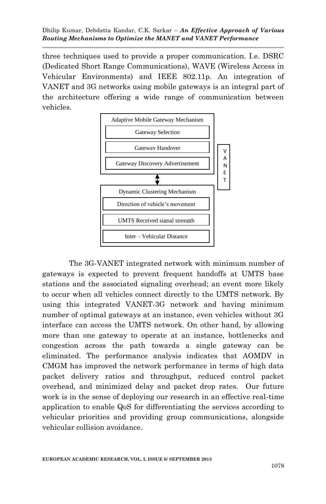three techniques used to provide a proper communication. I.e. DSRC (Dedicated Short Range Communications), WAVE (Wireless Access in Vehicular Environments) and IEEE 802.11p. An integration of VANET and 3G networks using mobile gateways is an integral part of the architecture offering a wide range of communication between vehicles.



The 3G-VANET integrated network with minimum number of gateways is expected to prevent frequent handoffs at UMTS base stations and the associated signaling overhead; an event more likely to occur when all vehicles connect directly to the UMTS network. By using this integrated VANET-3G network and having minimum number of optimal gateways at an instance, even vehicles without 3G interface can access the UMTS network. On other hand, by allowing more than one gateway to operate at an instance, bottlenecks and congestion across the path towards a single gateway can be eliminated. The performance analysis indicates that AOMDV in CMGM has improved the network performance in terms of high data packet delivery ratios and throughput, reduced control packet overhead, and minimized delay and packet drop rates. Our future work is in the sense of deploying our research in an effective real-time application to enable QoS for differentiating the services according to vehicular priorities and providing group communications, alongside vehicular collision avoidance.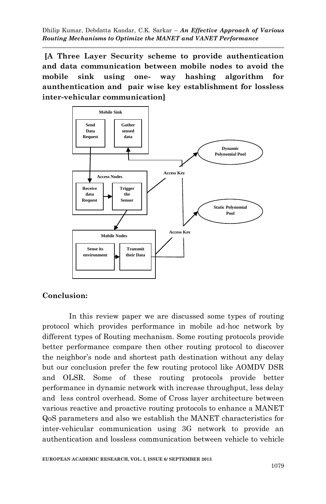**[A Three Layer Security scheme to provide authentication and data communication between mobile nodes to avoid the mobile sink using one- way hashing algorithm for aunthentication and pair wise key establishment for lossless inter-vehicular communication]**



#### **Conclusion:**

In this review paper we are discussed some types of routing protocol which provides performance in mobile ad-hoc network by different types of Routing mechanism. Some routing protocols provide better performance compare then other routing protocol to discover the neighbor's node and shortest path destination without any delay but our conclusion prefer the few routing protocol like AOMDV DSR and OLSR. Some of these routing protocols provide better performance in dynamic network with increase throughput, less delay and less control overhead. Some of Cross layer architecture between various reactive and proactive routing protocols to enhance a MANET QoS parameters and also we establish the MANET characteristics for inter-vehicular communication using 3G network to provide an authentication and lossless communication between vehicle to vehicle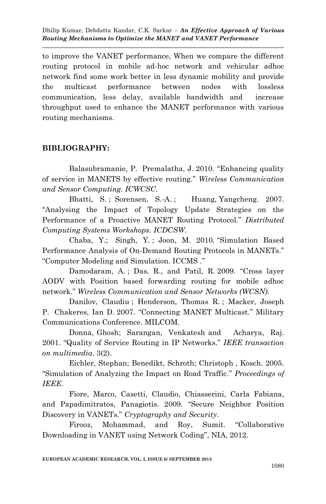to improve the VANET performance, When we compare the different routing protocol in mobile ad-hoc network and vehicular adhoc network find some work better in less dynamic mobility and provide the multicast performance between nodes with lossless communication, less delay, available bandwidth and increase throughput used to enhance the MANET performance with various routing mechanisms.

#### **BIBLIOGRAPHY:**

Balasubramanie, P. Premalatha, J. 2010. "Enhancing quality of service in MANETS by effective routing." *Wireless Communication and Sensor Computing. ICWCSC.*

Bhatti, S.; Sorensen, S.-A.; Huang, Yangcheng. 2007. "Analysing the Impact of Topology Update Strategies on the Performance of a Proactive MANET Routing Protocol." *Distributed Computing Systems Workshops. ICDCSW*.

Chaba, Y.; Singh, Y. ; Joon, M. 2010. "Simulation Based Performance Analysis of On-Demand Routing Protocols in MANETs." "Computer Modeling and Simulation. ICCMS ."

Damodaram, A. ; Das, R., and Patil, R. 2009. "Cross layer AODV with Position based forwarding routing for mobile adhoc network." *Wireless Communication and Sensor Networks (WCSN).*

Danilov, Claudiu ; Henderson, Thomas R. ; Macker, Joseph P. Chakeres, Ian D. 2007. "Connecting MANET Multicast." Military Communications Conference. MILCOM.

Donna, Ghosh; Sarangan, Venkatesh and Acharya, Raj. 2001. "Quality of Service Routing in IP Networks." *IEEE transaction on multimedia*. 3(2).

Eichler, Stephan; Benedikt, Schroth; Christoph , Kosch. 2005. "Simulation of Analyzing the Impact on Road Traffic." *Proceedings of IEEE.*

Fiore, Marco, Casetti, Claudio, Chiasserini, Carla Fabiana, and Papadimitratos, Panagiotis. 2009. "Secure Neighbor Position Discovery in VANETs." *Cryptography and Security*.

Firooz, Mohammad, and Roy, Sumit. "Collaborative Downloading in VANET using Network Coding", NIA, 2012.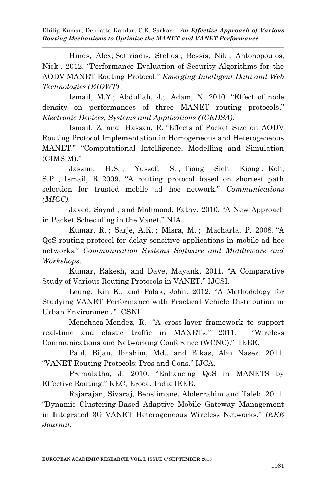[Hinds, Alex](http://ieeexplore.ieee.org/search/searchresult.jsp?searchWithin=p_Authors:.QT.Hinds,%20Alex.QT.&newsearch=partialPref); [Sotiriadis, Stelios](http://ieeexplore.ieee.org/search/searchresult.jsp?searchWithin=p_Authors:.QT.Hinds,%20Alex.QT.&newsearch=partialPref) ; [Bessis, Nik](http://ieeexplore.ieee.org/search/searchresult.jsp?searchWithin=p_Authors:.QT.Bessis,%20Nik.QT.&newsearch=partialPref) ; Antonopoulos, Nick . 2012. "Performance Evaluation of Security Algorithms for the AODV MANET Routing Protocol." *Emerging Intelligent Data and Web Technologies (EIDWT)*

Ismail, M.Y.; Abdullah, J.; Adam, N. 2010. "Effect of node density on performances of three MANET routing protocols." *Electronic Devices, Systems and Applications (ICEDSA).*

[Ismail, Z. and](http://ieeexplore.ieee.org/search/searchresult.jsp?searchWithin=p_Authors:.QT.Ismail,%20Z..QT.&newsearch=partialPref) Hassan, R. "Effects of Packet Size on AODV Routing Protocol Implementation in Homogeneous and Heterogeneous MANET." "Computational Intelligence, Modelling and Simulation (CIMSiM)."

[Jassim, H.S.](http://ieeexplore.ieee.org/search/searchresult.jsp?searchWithin=p_Authors:.QT.Jassim,%20H.S..QT.&newsearch=partialPref) , [Yussof, S.](http://ieeexplore.ieee.org/search/searchresult.jsp?searchWithin=p_Authors:.QT.Yussof,%20S..QT.&newsearch=partialPref) , [Tiong Sieh Kiong](http://ieeexplore.ieee.org/search/searchresult.jsp?searchWithin=p_Authors:.QT.Tiong%20Sieh%20Kiong.QT.&newsearch=partialPref) , [Koh,](http://ieeexplore.ieee.org/search/searchresult.jsp?searchWithin=p_Authors:.QT.Koh,%20S.P..QT.&newsearch=partialPref)  [S.P.](http://ieeexplore.ieee.org/search/searchresult.jsp?searchWithin=p_Authors:.QT.Koh,%20S.P..QT.&newsearch=partialPref) , [Ismail, R.](http://ieeexplore.ieee.org/search/searchresult.jsp?searchWithin=p_Authors:.QT.Ismail,%20R..QT.&newsearch=partialPref) 2009. "A routing protocol based on shortest path selection for trusted mobile ad hoc network." *Communications (MICC)*.

Javed, Sayadi, and Mahmood, Fathy. 2010. "A New Approach in Packet Scheduling in the Vanet." NIA.

Kumar, R. ; Sarje, A.K. ; Misra, M. ; Macharla, P. 2008. "A QoS routing protocol for delay-sensitive applications in mobile ad hoc networks." *Communication Systems Software and Middleware and Workshops*.

Kumar, Rakesh, and Dave, Mayank. 2011. "A Comparative Study of Various Routing Protocols in VANET." IJCSI.

Leung, Kin K., and Polak, John. 2012. "A Methodology for Studying VANET Performance with Practical Vehicle Distribution in Urban Environment." CSNI.

[Menchaca-Mendez,](http://ieeexplore.ieee.org/search/searchresult.jsp?searchWithin=p_Authors:.QT.Menchaca-Mendez,%20R..QT.&newsearch=partialPref) R. "A cross-layer framework to support real-time and elastic traffic in MANETs." 2011. "[Wireless](http://ieeexplore.ieee.org/xpl/mostRecentIssue.jsp?punumber=5770420)  Communications and Ne[tworking Conference \(WCNC\)."](http://ieeexplore.ieee.org/xpl/mostRecentIssue.jsp?punumber=5770420) IEEE.

Paul, Bijan, Ibrahim, Md., and Bikas, Abu Naser. 2011. "VANET Routing Protocols: Pros and Cons." IJCA.

Premalatha, J. 2010. "Enhancing QoS in MANETS by Effective Routing." KEC, Erode, India IEEE.

Rajarajan, Sivaraj, Benslimane, Abderrahim and Taleb. 2011. "Dynamic Clustering-Based Adaptive Mobile Gateway Management in Integrated 3G VANET Heterogeneous Wireless Networks." *IEEE Journal.*